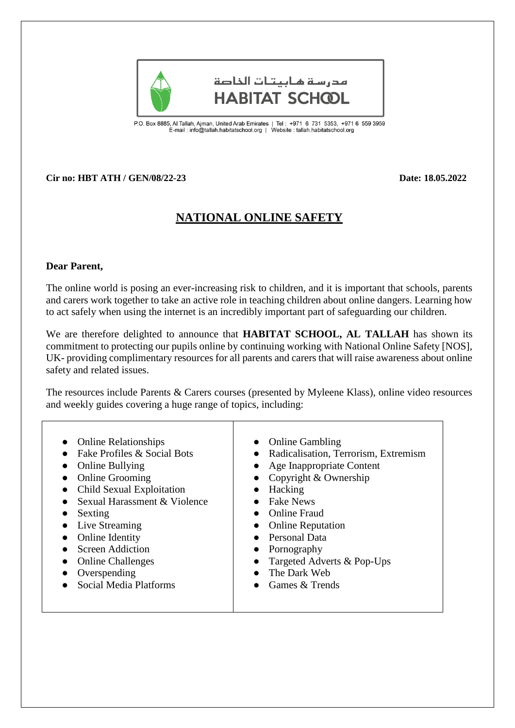

مدرسة هابيتات الخاصة **HABITAT SCHOOL** 

P.O. Box 8885, Al Tallah, Ajman, United Arab Emirates | Tel : +971 6 731 5353, +971 6 559 3959<br>E-mail : info@tallah.habitatschool.org | Website : tallah.habitatschool.org

## **Cir no: HBT ATH / GEN/08/22-23 Date: 18.05.2022**

## **NATIONAL ONLINE SAFETY**

## **Dear Parent,**

The online world is posing an ever-increasing risk to children, and it is important that schools, parents and carers work together to take an active role in teaching children about online dangers. Learning how to act safely when using the internet is an incredibly important part of safeguarding our children.

We are therefore delighted to announce that **HABITAT SCHOOL, AL TALLAH** has shown its commitment to protecting our pupils online by continuing working with National Online Safety [NOS], UK- providing complimentary resources for all parents and carers that will raise awareness about online safety and related issues.

The resources include Parents & Carers courses (presented by Myleene Klass), online video resources and weekly guides covering a huge range of topics, including:

| <b>Online Relationships</b><br>Fake Profiles & Social Bots | <b>Online Gambling</b><br>• Radicalisation, Terrorism, Extremism |
|------------------------------------------------------------|------------------------------------------------------------------|
| <b>Online Bullying</b>                                     | • Age Inappropriate Content                                      |
| <b>Online Grooming</b>                                     | Copyright & Ownership                                            |
| Child Sexual Exploitation                                  | Hacking<br>$\bullet$                                             |
| Sexual Harassment & Violence                               | <b>Fake News</b>                                                 |
| Sexting                                                    | <b>Online Fraud</b><br>$\bullet$                                 |
| Live Streaming                                             | <b>Online Reputation</b>                                         |
| <b>Online Identity</b>                                     | Personal Data<br>$\bullet$                                       |
| Screen Addiction                                           | • Pornography                                                    |
| <b>Online Challenges</b>                                   | Targeted Adverts & Pop-Ups                                       |
| Overspending                                               | The Dark Web<br>$\bullet$                                        |
| Social Media Platforms                                     | Games & Trends                                                   |